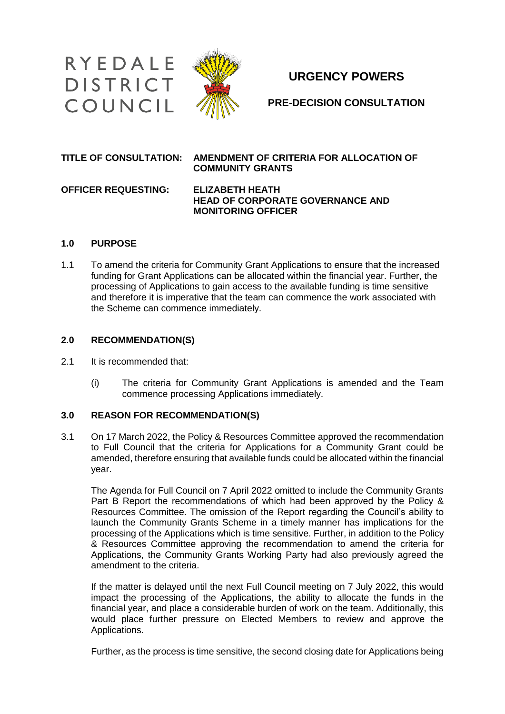



# **URGENCY POWERS**

**PRE-DECISION CONSULTATION**

#### **TITLE OF CONSULTATION: AMENDMENT OF CRITERIA FOR ALLOCATION OF COMMUNITY GRANTS**

#### **OFFICER REQUESTING: ELIZABETH HEATH HEAD OF CORPORATE GOVERNANCE AND MONITORING OFFICER**

#### **1.0 PURPOSE**

1.1 To amend the criteria for Community Grant Applications to ensure that the increased funding for Grant Applications can be allocated within the financial year. Further, the processing of Applications to gain access to the available funding is time sensitive and therefore it is imperative that the team can commence the work associated with the Scheme can commence immediately.

## **2.0 RECOMMENDATION(S)**

- 2.1 It is recommended that:
	- (i) The criteria for Community Grant Applications is amended and the Team commence processing Applications immediately.

### **3.0 REASON FOR RECOMMENDATION(S)**

3.1 On 17 March 2022, the Policy & Resources Committee approved the recommendation to Full Council that the criteria for Applications for a Community Grant could be amended, therefore ensuring that available funds could be allocated within the financial year.

The Agenda for Full Council on 7 April 2022 omitted to include the Community Grants Part B Report the recommendations of which had been approved by the Policy & Resources Committee. The omission of the Report regarding the Council's ability to launch the Community Grants Scheme in a timely manner has implications for the processing of the Applications which is time sensitive. Further, in addition to the Policy & Resources Committee approving the recommendation to amend the criteria for Applications, the Community Grants Working Party had also previously agreed the amendment to the criteria.

If the matter is delayed until the next Full Council meeting on 7 July 2022, this would impact the processing of the Applications, the ability to allocate the funds in the financial year, and place a considerable burden of work on the team. Additionally, this would place further pressure on Elected Members to review and approve the Applications.

Further, as the process is time sensitive, the second closing date for Applications being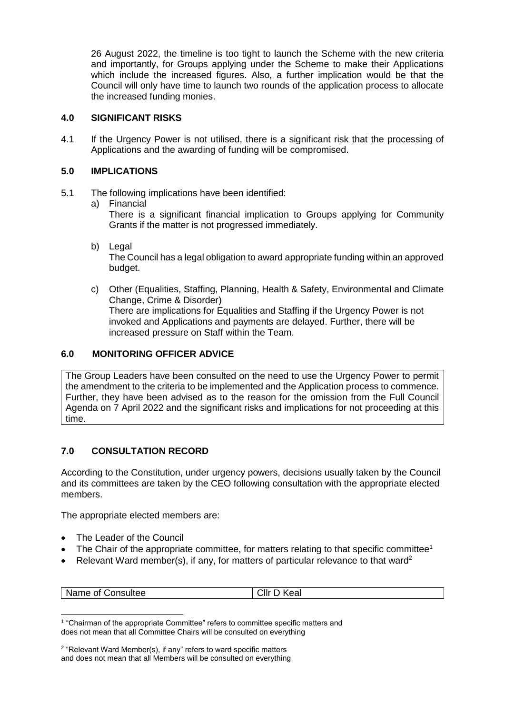26 August 2022, the timeline is too tight to launch the Scheme with the new criteria and importantly, for Groups applying under the Scheme to make their Applications which include the increased figures. Also, a further implication would be that the Council will only have time to launch two rounds of the application process to allocate the increased funding monies.

### **4.0 SIGNIFICANT RISKS**

4.1 If the Urgency Power is not utilised, there is a significant risk that the processing of Applications and the awarding of funding will be compromised.

## **5.0 IMPLICATIONS**

- 5.1 The following implications have been identified:
	- a) Financial

There is a significant financial implication to Groups applying for Community Grants if the matter is not progressed immediately.

- b) Legal The Council has a legal obligation to award appropriate funding within an approved budget.
- c) Other (Equalities, Staffing, Planning, Health & Safety, Environmental and Climate Change, Crime & Disorder) There are implications for Equalities and Staffing if the Urgency Power is not invoked and Applications and payments are delayed. Further, there will be increased pressure on Staff within the Team.

## **6.0 MONITORING OFFICER ADVICE**

The Group Leaders have been consulted on the need to use the Urgency Power to permit the amendment to the criteria to be implemented and the Application process to commence. Further, they have been advised as to the reason for the omission from the Full Council Agenda on 7 April 2022 and the significant risks and implications for not proceeding at this time.

# **7.0 CONSULTATION RECORD**

According to the Constitution, under urgency powers, decisions usually taken by the Council and its committees are taken by the CEO following consultation with the appropriate elected members.

The appropriate elected members are:

- The Leader of the Council
- The Chair of the appropriate committee, for matters relating to that specific committee<sup>1</sup>
- Relevant Ward member(s), if any, for matters of particular relevance to that ward<sup>2</sup>

| Name of Consultee | ClIr<br>Keal<br>◡ |
|-------------------|-------------------|
|                   |                   |

<sup>-</sup><sup>1</sup> "Chairman of the appropriate Committee" refers to committee specific matters and does not mean that all Committee Chairs will be consulted on everything

<sup>&</sup>lt;sup>2</sup> "Relevant Ward Member(s), if any" refers to ward specific matters and does not mean that all Members will be consulted on everything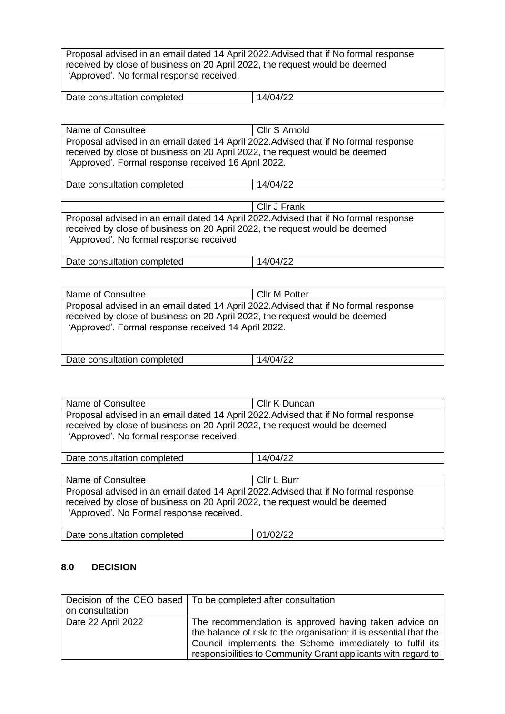Proposal advised in an email dated 14 April 2022.Advised that if No formal response received by close of business on 20 April 2022, the request would be deemed 'Approved'. No formal response received.

| Date consultation completed | 14/04/22 |
|-----------------------------|----------|

Name of Consultee Club S Arnold Proposal advised in an email dated 14 April 2022.Advised that if No formal response received by close of business on 20 April 2022, the request would be deemed 'Approved'. Formal response received 16 April 2022.

Date consultation completed 14/04/22

Cllr J Frank Proposal advised in an email dated 14 April 2022.Advised that if No formal response received by close of business on 20 April 2022, the request would be deemed 'Approved'. No formal response received.

Date consultation completed 14/04/22

| Name of Consultee                                                                                                                                                                                                          | <b>Cllr M Potter</b> |
|----------------------------------------------------------------------------------------------------------------------------------------------------------------------------------------------------------------------------|----------------------|
| Proposal advised in an email dated 14 April 2022. Advised that if No formal response<br>received by close of business on 20 April 2022, the request would be deemed<br>'Approved'. Formal response received 14 April 2022. |                      |
| Date consultation completed                                                                                                                                                                                                | 14/04/22             |

| Name of Consultee                                                                                                                                                                                               | Cllr K Duncan |
|-----------------------------------------------------------------------------------------------------------------------------------------------------------------------------------------------------------------|---------------|
| Proposal advised in an email dated 14 April 2022. Advised that if No formal response<br>received by close of business on 20 April 2022, the request would be deemed<br>'Approved'. No formal response received. |               |
| Date consultation completed                                                                                                                                                                                     | 14/04/22      |

| Name of Consultee                                                                                                                                                                                               | Cllr L Burr |
|-----------------------------------------------------------------------------------------------------------------------------------------------------------------------------------------------------------------|-------------|
| Proposal advised in an email dated 14 April 2022. Advised that if No formal response<br>received by close of business on 20 April 2022, the request would be deemed<br>'Approved'. No Formal response received. |             |
| Date consultation completed                                                                                                                                                                                     | 01/02/22    |

# **8.0 DECISION**

|                    | Decision of the CEO based   To be completed after consultation                                                                                                                                                                                         |
|--------------------|--------------------------------------------------------------------------------------------------------------------------------------------------------------------------------------------------------------------------------------------------------|
| on consultation    |                                                                                                                                                                                                                                                        |
| Date 22 April 2022 | The recommendation is approved having taken advice on<br>the balance of risk to the organisation; it is essential that the<br>Council implements the Scheme immediately to fulfil its<br>responsibilities to Community Grant applicants with regard to |